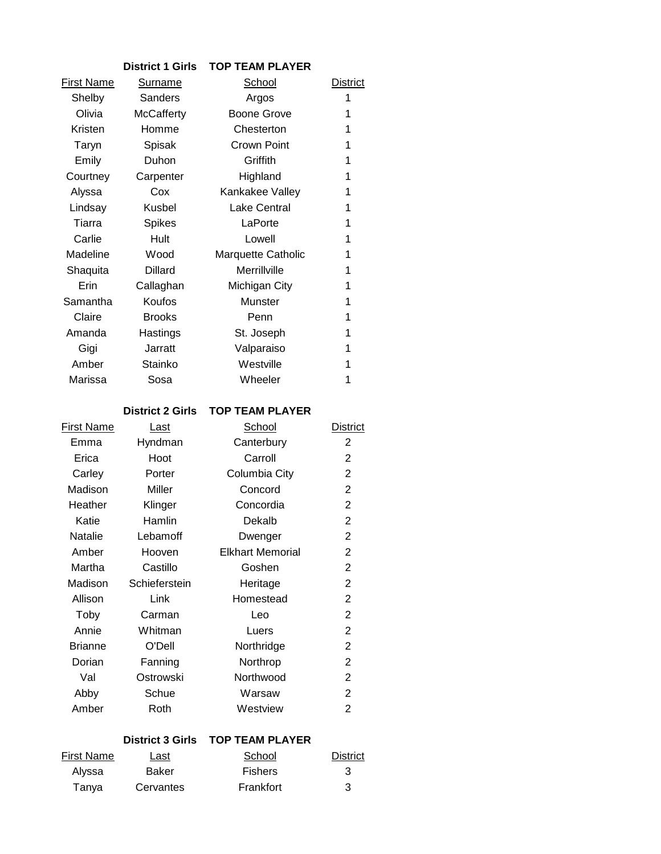|                   | <b>District 1 Girls</b> | <b>TOP TEAM PLAYER</b> |          |
|-------------------|-------------------------|------------------------|----------|
| <b>First Name</b> | <b>Surname</b>          | <b>School</b>          | District |
| Shelby            | Sanders                 | Argos                  | 1        |
| Olivia            | <b>McCafferty</b>       | <b>Boone Grove</b>     | 1        |
| Kristen           | Homme                   | Chesterton             | 1        |
| Taryn             | Spisak                  | Crown Point            | 1        |
| Emily             | Duhon                   | Griffith               | 1        |
| Courtney          | Carpenter               | Highland               | 1        |
| Alyssa            | Cox                     | Kankakee Valley        | 1        |
| Lindsay           | Kusbel                  | <b>Lake Central</b>    | 1        |
| Tiarra            | <b>Spikes</b>           | LaPorte                | 1        |
| Carlie            | Hult                    | Lowell                 | 1        |
| Madeline          | Wood                    | Marquette Catholic     | 1        |
| Shaquita          | <b>Dillard</b>          | Merrillville           | 1        |
| Erin              | Callaghan               | Michigan City          | 1        |
| Samantha          | Koufos                  | Munster                | 1        |
| Claire            | <b>Brooks</b>           | Penn                   | 1        |
| Amanda            | Hastings                | St. Joseph             | 1        |
| Gigi              | Jarratt                 | Valparaiso             | 1        |
| Amber             | Stainko                 | Westville              | 1        |
| Marissa           | Sosa                    | Wheeler                | 1        |

### **District 2 Girls TOP TEAM PLAYER**

| First Name     | <u>Last</u>   | School                  | <b>District</b> |
|----------------|---------------|-------------------------|-----------------|
| Emma           | Hyndman       | Canterbury              | 2               |
| Erica          | Hoot          | Carroll                 | 2               |
| Carley         | Porter        | Columbia City           | 2               |
| Madison        | Miller        | Concord                 | 2               |
| Heather        | Klinger       | Concordia               | 2               |
| Katie          | Hamlin        | Dekalb                  | $\overline{2}$  |
| <b>Natalie</b> | Lebamoff      | Dwenger                 | $\overline{2}$  |
| Amber          | Hooven        | <b>Elkhart Memorial</b> | $\overline{2}$  |
| Martha         | Castillo      | Goshen                  | $\overline{2}$  |
| Madison        | Schieferstein | Heritage                | 2               |
| Allison        | Link          | Homestead               | 2               |
| Toby           | Carman        | Leo                     | $\overline{2}$  |
| Annie          | Whitman       | Luers                   | $\overline{2}$  |
| <b>Brianne</b> | O'Dell        | Northridge              | $\overline{2}$  |
| Dorian         | Fanning       | Northrop                | 2               |
| Val            | Ostrowski     | Northwood               | 2               |
| Abby           | Schue         | Warsaw                  | 2               |
| Amber          | Roth          | Westview                | 2               |
|                |               |                         |                 |

## **District 3 Girls TOP TEAM PLAYER**

| First Name | Last      | School         | <b>District</b> |
|------------|-----------|----------------|-----------------|
| Alvssa     | Baker     | <b>Fishers</b> | 3               |
| Tanya      | Cervantes | Frankfort      | 3               |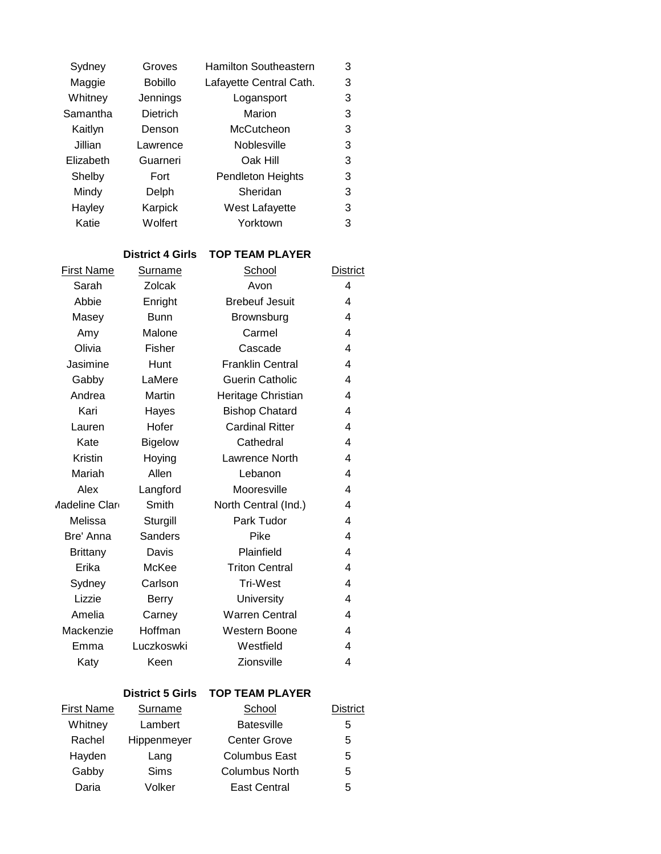| Sydney    | Groves          | <b>Hamilton Southeastern</b> | 3 |
|-----------|-----------------|------------------------------|---|
| Maggie    | <b>Bobillo</b>  | Lafayette Central Cath.      | 3 |
| Whitney   | Jennings        | Logansport                   | 3 |
| Samantha  | <b>Dietrich</b> | Marion                       | 3 |
| Kaitlyn   | Denson          | McCutcheon                   | 3 |
| Jillian   | Lawrence        | Noblesville                  | 3 |
| Elizabeth | Guarneri        | Oak Hill                     | 3 |
| Shelby    | Fort            | <b>Pendleton Heights</b>     | 3 |
| Mindy     | Delph           | Sheridan                     | 3 |
| Hayley    | Karpick         | West Lafayette               | 3 |
| Katie     | Wolfert         | Yorktown                     | 3 |
|           |                 |                              |   |

# **District 4 Girls TOP TEAM PLAYER**

| First Name            | <b>Surname</b> | School                  | <b>District</b> |
|-----------------------|----------------|-------------------------|-----------------|
| Sarah                 | Zolcak         | Avon                    | $\overline{4}$  |
| Abbie                 | Enright        | <b>Brebeuf Jesuit</b>   | 4               |
| Masey                 | <b>Bunn</b>    | Brownsburg              | 4               |
| Amy                   | Malone         | Carmel                  | 4               |
| Olivia                | Fisher         | Cascade                 | 4               |
| Jasimine              | Hunt           | <b>Franklin Central</b> | 4               |
| Gabby                 | LaMere         | <b>Guerin Catholic</b>  | 4               |
| Andrea                | Martin         | Heritage Christian      | 4               |
| Kari                  | Hayes          | <b>Bishop Chatard</b>   | 4               |
| Lauren                | Hofer          | <b>Cardinal Ritter</b>  | 4               |
| Kate                  | <b>Bigelow</b> | Cathedral               | 4               |
| Kristin               | Hoying         | Lawrence North          | 4               |
| Mariah                | Allen          | Lebanon                 | 4               |
| Alex                  | Langford       | Mooresville             | 4               |
| <b>Aadeline Clare</b> | Smith          | North Central (Ind.)    | 4               |
| Melissa               | Sturgill       | Park Tudor              | 4               |
| Bre' Anna             | Sanders        | Pike                    | 4               |
| <b>Brittany</b>       | Davis          | Plainfield              | 4               |
| Erika                 | McKee          | <b>Triton Central</b>   | 4               |
| Sydney                | Carlson        | <b>Tri-West</b>         | 4               |
| Lizzie                | Berry          | University              | 4               |
| Amelia                | Carney         | <b>Warren Central</b>   | 4               |
| Mackenzie             | Hoffman        | Western Boone           | 4               |
| Emma                  | Luczkoswki     | Westfield               | 4               |
| Katy                  | Keen           | Zionsville              | 4               |

# **District 5 Girls TOP TEAM PLAYER**

| <b>First Name</b> | Surname     | School                | <b>District</b> |
|-------------------|-------------|-----------------------|-----------------|
| Whitney           | Lambert     | <b>Batesville</b>     | 5               |
| Rachel            | Hippenmeyer | <b>Center Grove</b>   | 5               |
| Hayden            | Lang        | <b>Columbus East</b>  | 5               |
| Gabby             | Sims        | <b>Columbus North</b> | 5               |
| Daria             | Volker      | East Central          | 5               |